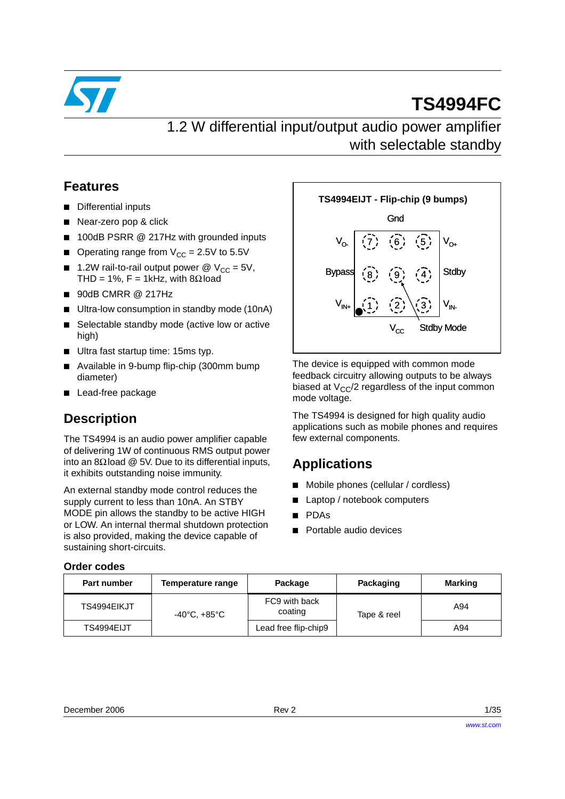

# **TS4994FC**

1.2 W differential input/output audio power amplifier with selectable standby

### **Features**

- Differential inputs
- Near-zero pop & click
- 100dB PSRR @ 217Hz with grounded inputs
- Operating range from  $V_{CC} = 2.5V$  to 5.5V
- 1.2W rail-to-rail output power  $\omega$  V<sub>CC</sub> = 5V, THD = 1%, F = 1kHz, with 8 $\Omega$ load
- 90dB CMRR @ 217Hz
- Ultra-low consumption in standby mode (10nA)
- Selectable standby mode (active low or active high)
- Ultra fast startup time: 15ms typ.
- Available in 9-bump flip-chip (300mm bump diameter)
- Lead-free package

## **Description**

The TS4994 is an audio power amplifier capable of delivering 1W of continuous RMS output power into an 8Ω load  $@$  5V. Due to its differential inputs, it exhibits outstanding noise immunity.

An external standby mode control reduces the supply current to less than 10nA. An STBY MODE pin allows the standby to be active HIGH or LOW. An internal thermal shutdown protection is also provided, making the device capable of sustaining short-circuits.



The device is equipped with common mode feedback circuitry allowing outputs to be always biased at  $V_{CC}/2$  regardless of the input common mode voltage.

The TS4994 is designed for high quality audio applications such as mobile phones and requires few external components.

### **Applications**

- Mobile phones (cellular / cordless)
- Laptop / notebook computers
- PDAs
- Portable audio devices

#### **Order codes**

| Part number | Temperature range | Package                  | Packaging   | Marking |
|-------------|-------------------|--------------------------|-------------|---------|
| TS4994EIKJT | -40°C, +85°C      | FC9 with back<br>coating | Tape & reel | A94     |
| TS4994EIJT  |                   | Lead free flip-chip9     |             | A94     |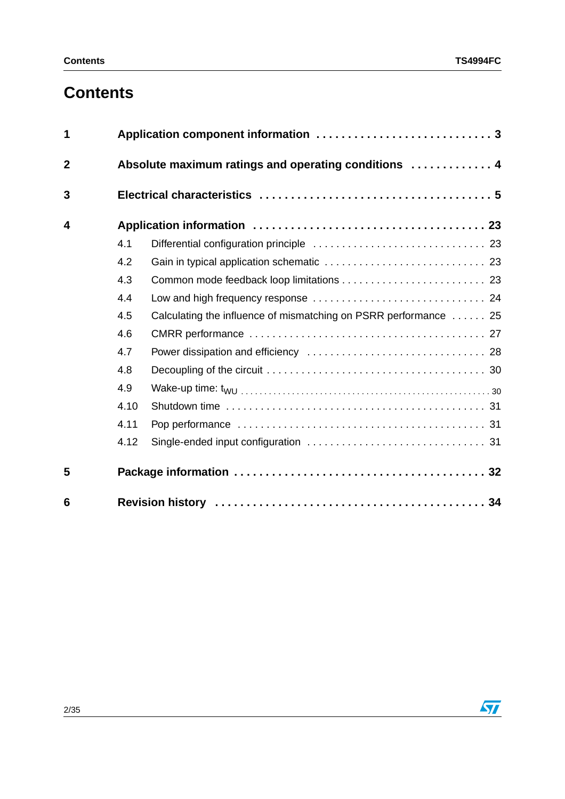# **Contents**

| 1           |      |                                                                  |  |  |  |  |  |
|-------------|------|------------------------------------------------------------------|--|--|--|--|--|
| $\mathbf 2$ |      | Absolute maximum ratings and operating conditions  4             |  |  |  |  |  |
| 3           |      |                                                                  |  |  |  |  |  |
| 4           |      |                                                                  |  |  |  |  |  |
|             | 4.1  |                                                                  |  |  |  |  |  |
|             | 4.2  |                                                                  |  |  |  |  |  |
|             | 4.3  |                                                                  |  |  |  |  |  |
|             | 4.4  |                                                                  |  |  |  |  |  |
|             | 4.5  | Calculating the influence of mismatching on PSRR performance  25 |  |  |  |  |  |
|             | 4.6  |                                                                  |  |  |  |  |  |
|             | 4.7  |                                                                  |  |  |  |  |  |
|             | 4.8  |                                                                  |  |  |  |  |  |
|             | 4.9  |                                                                  |  |  |  |  |  |
|             | 4.10 |                                                                  |  |  |  |  |  |
|             | 4.11 |                                                                  |  |  |  |  |  |
|             | 4.12 |                                                                  |  |  |  |  |  |
| 5           |      |                                                                  |  |  |  |  |  |
| 6           |      |                                                                  |  |  |  |  |  |

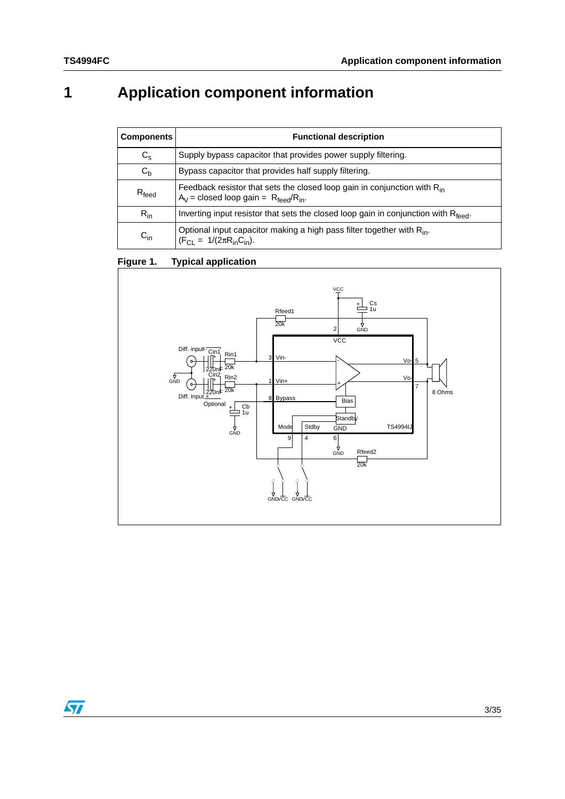# <span id="page-2-0"></span>**1 Application component information**

| <b>Components</b>   | <b>Functional description</b>                                                                                                                 |  |  |
|---------------------|-----------------------------------------------------------------------------------------------------------------------------------------------|--|--|
| $C_{\rm s}$         | Supply bypass capacitor that provides power supply filtering.                                                                                 |  |  |
| $C_{b}$             | Bypass capacitor that provides half supply filtering.                                                                                         |  |  |
| $R_{\mathsf{feed}}$ | Feedback resistor that sets the closed loop gain in conjunction with $R_{in}$<br>$A_V$ = closed loop gain = $R_{\text{feed}}/R_{\text{in}}$ . |  |  |
| $R_{in}$            | Inverting input resistor that sets the closed loop gain in conjunction with Rfeed.                                                            |  |  |
| $C_{in}$            | Optional input capacitor making a high pass filter together with $R_{in}$ .<br>$(F_{Cl} = 1/(2\pi R_{in}C_{in}).$                             |  |  |

### <span id="page-2-1"></span>**Figure 1. Typical application**



 $\sqrt{2}$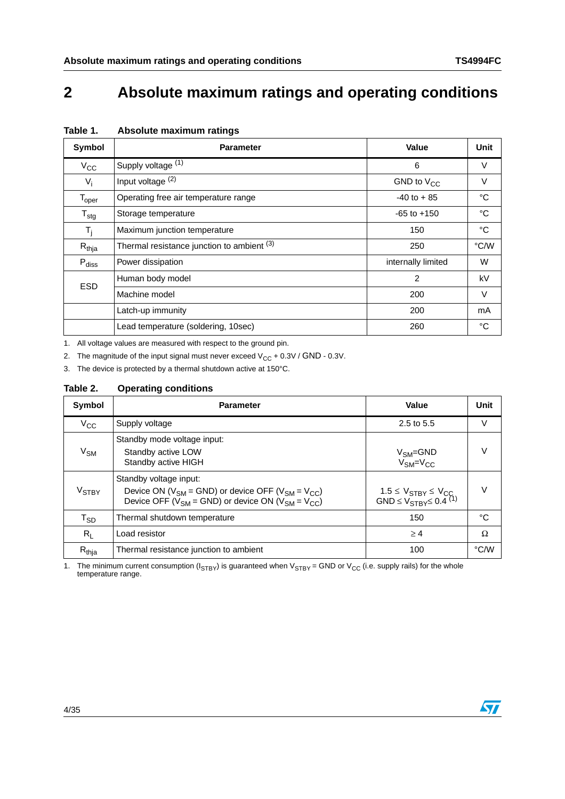## <span id="page-3-0"></span>**2 Absolute maximum ratings and operating conditions**

| Symbol                       | <b>Parameter</b>                           | Value              | Unit        |
|------------------------------|--------------------------------------------|--------------------|-------------|
| $V_{\rm CC}$                 | Supply voltage (1)                         | 6                  | V           |
| $V_i$                        | Input voltage $(2)$                        | GND to $V_{CC}$    | V           |
| $\mathsf{T}_{\mathsf{oper}}$ | Operating free air temperature range       | $-40$ to $+85$     | °C          |
| ${\tt T_{stg}}$              | Storage temperature                        | $-65$ to $+150$    | $^{\circ}C$ |
| $T_i$                        | Maximum junction temperature               | 150                | °C          |
| $R_{thja}$                   | Thermal resistance junction to ambient (3) | 250                | °C/W        |
| $P_{\text{diss}}$            | Power dissipation                          | internally limited | W           |
| <b>ESD</b>                   | Human body model                           | 2                  | kV          |
|                              | Machine model                              | 200                | $\vee$      |
|                              | Latch-up immunity                          | 200                | mA          |
|                              | Lead temperature (soldering, 10sec)        | 260                | °C          |

#### **Table 1. Absolute maximum ratings**

1. All voltage values are measured with respect to the ground pin.

2. The magnitude of the input signal must never exceed  $V_{CC}$  + 0.3V / GND - 0.3V.

3. The device is protected by a thermal shutdown active at 150°C.

#### **Table 2. Operating conditions**

| Symbol                  | <b>Parameter</b>                                                                                                                                                 | Value                                                                | Unit   |
|-------------------------|------------------------------------------------------------------------------------------------------------------------------------------------------------------|----------------------------------------------------------------------|--------|
| $V_{CC}$                | Supply voltage                                                                                                                                                   | 2.5 to 5.5                                                           | V      |
| $V_{SM}$                | Standby mode voltage input:<br>Standby active LOW<br>Standby active HIGH                                                                                         | $V_{\rm SM}$ =GND<br>$V_{SM}=V_{CC}$                                 | V      |
| <b>V<sub>STBY</sub></b> | Standby voltage input:<br>Device ON ( $V_{SM}$ = GND) or device OFF ( $V_{SM}$ = $V_{CC}$ )<br>Device OFF ( $V_{SM}$ = GND) or device ON ( $V_{SM}$ = $V_{CC}$ ) | 1.5 ≤ $V_{STBY}$ ≤ $V_{CC}$<br>GND ≤ $V_{STBY}$ ≤ 0.4 <sup>(1)</sup> | $\vee$ |
| $T_{SD}$                | Thermal shutdown temperature                                                                                                                                     | 150                                                                  | °C     |
| $R_L$                   | Load resistor                                                                                                                                                    | $\geq 4$                                                             | Ω      |
| $R_{thia}$              | Thermal resistance junction to ambient                                                                                                                           | 100                                                                  | °C∕W   |

1. The minimum current consumption ( $I_{STBY}$ ) is guaranteed when  $V_{STBY}$  = GND or  $V_{CC}$  (i.e. supply rails) for the whole temperature range.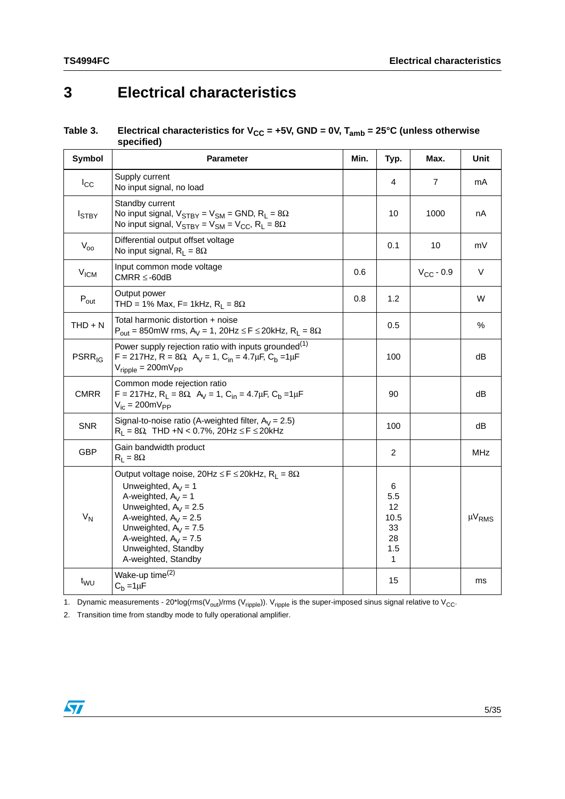## <span id="page-4-0"></span>**3 Electrical characteristics**

<span id="page-4-1"></span>

| Table 3. | Electrical characteristics for $V_{CC}$ = +5V, GND = 0V, T <sub>amb</sub> = 25°C (unless otherwise |
|----------|----------------------------------------------------------------------------------------------------|
|          | specified)                                                                                         |

| Symbol             | <b>Parameter</b>                                                                                                                                                                                                                                                                          | Min. | Typ.                                           | Max.           | Unit          |
|--------------------|-------------------------------------------------------------------------------------------------------------------------------------------------------------------------------------------------------------------------------------------------------------------------------------------|------|------------------------------------------------|----------------|---------------|
| $I_{\rm CC}$       | Supply current<br>No input signal, no load                                                                                                                                                                                                                                                |      | 4                                              | $\overline{7}$ | mA            |
| $I_{STBY}$         | Standby current<br>No input signal, $V_{STBY} = V_{SM} = GND$ , $R_L = 8\Omega$<br>No input signal, $V_{STBY} = V_{SM} = V_{CC}$ , R <sub>L</sub> = 8 $\Omega$                                                                                                                            |      | 10                                             | 1000           | nA            |
| $V_{oo}$           | Differential output offset voltage<br>No input signal, $R_L = 8\Omega$                                                                                                                                                                                                                    |      | 0.1                                            | 10             | mV            |
| V <sub>ICM</sub>   | Input common mode voltage<br>$CMRR \leq -60dB$                                                                                                                                                                                                                                            | 0.6  |                                                | $V_{CC}$ - 0.9 | V             |
| $P_{\text{out}}$   | Output power<br>THD = 1% Max, F= 1kHz, $R_1 = 8\Omega$                                                                                                                                                                                                                                    | 0.8  | 1.2                                            |                | W             |
| $THD + N$          | Total harmonic distortion + noise<br>$P_{out} = 850$ mW rms, A <sub>V</sub> = 1, 20Hz $\le F \le 20$ kHz, R <sub>L</sub> = $8\Omega$                                                                                                                                                      |      | 0.5                                            |                | %             |
| PSRR <sub>IG</sub> | Power supply rejection ratio with inputs grounded <sup>(1)</sup><br>F = 217Hz, R = 8 $\Omega$ , A <sub>V</sub> = 1, C <sub>in</sub> = 4.7 $\mu$ F, C <sub>b</sub> = 1 $\mu$ F<br>$V_{\text{ripole}} = 200 \text{mV}_{\text{PP}}$                                                          |      | 100                                            |                | dB            |
| <b>CMRR</b>        | Common mode rejection ratio<br>$F = 217$ Hz, R <sub>L</sub> = 8 $\Omega$ , A <sub>V</sub> = 1, C <sub>in</sub> = 4.7 $\mu$ F, C <sub>b</sub> = 1 $\mu$ F<br>$V_{ic} = 200 \text{mV}_{PP}$                                                                                                 |      | 90                                             |                | dB            |
| <b>SNR</b>         | Signal-to-noise ratio (A-weighted filter, $A_V = 2.5$ )<br>$R_L = 8\Omega$ , THD +N < 0.7%, 20Hz $\le F \le 20$ kHz                                                                                                                                                                       |      | 100                                            |                | dB            |
| <b>GBP</b>         | Gain bandwidth product<br>$R_L = 8\Omega$                                                                                                                                                                                                                                                 |      | $\overline{c}$                                 |                | <b>MHz</b>    |
| $V_N$              | Output voltage noise, 20Hz $\leq$ F $\leq$ 20kHz, R <sub>1</sub> = 8 $\Omega$<br>Unweighted, $A_V = 1$<br>A-weighted, $A_V = 1$<br>Unweighted, $A_V = 2.5$<br>A-weighted, $A_V = 2.5$<br>Unweighted, $A_V = 7.5$<br>A-weighted, $A_V = 7.5$<br>Unweighted, Standby<br>A-weighted, Standby |      | 6<br>5.5<br>12<br>10.5<br>33<br>28<br>1.5<br>1 |                | $\mu V_{RMS}$ |
| $t_{\text{WU}}$    | Wake-up time <sup>(2)</sup><br>$C_b = 1 \mu F$                                                                                                                                                                                                                                            |      | 15                                             |                | ms            |

1. Dynamic measurements - 20\*log(rms( $V_{\text{out}}$ )/rms ( $V_{\text{ripple}}$ )).  $V_{\text{ripple}}$  is the super-imposed sinus signal relative to  $V_{\text{CC}}$ .

2. Transition time from standby mode to fully operational amplifier.

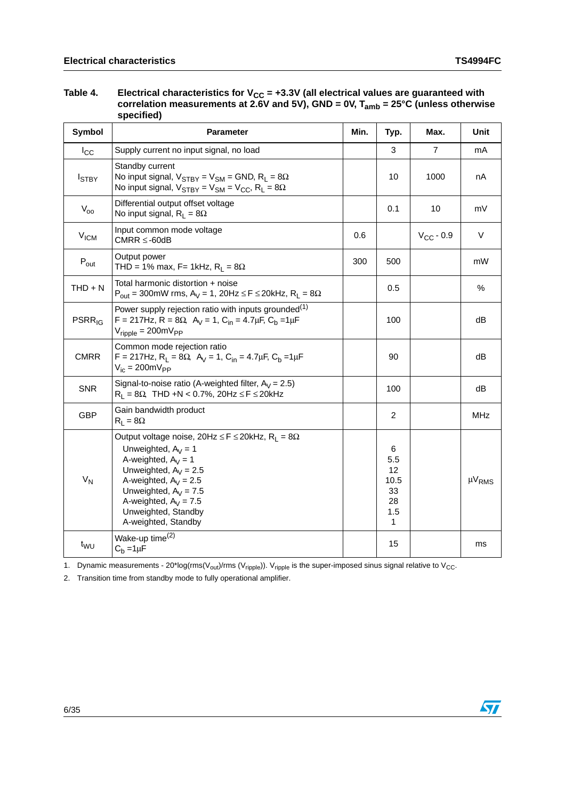| Table 4. | Electrical characteristics for $V_{CC}$ = +3.3V (all electrical values are guaranteed with<br>correlation measurements at 2.6V and 5V), GND = 0V, $T_{amb}$ = 25°C (unless otherwise<br>specified) |  |  |
|----------|----------------------------------------------------------------------------------------------------------------------------------------------------------------------------------------------------|--|--|
|          |                                                                                                                                                                                                    |  |  |

| Symbol                   | <b>Parameter</b>                                                                                                                                                                                                                                                                          | Min. | Typ.                                           | Max.           | Unit          |
|--------------------------|-------------------------------------------------------------------------------------------------------------------------------------------------------------------------------------------------------------------------------------------------------------------------------------------|------|------------------------------------------------|----------------|---------------|
| $I_{\rm CC}$             | Supply current no input signal, no load                                                                                                                                                                                                                                                   |      | 3                                              | $\overline{7}$ | mA            |
| <b>I</b> STBY            | Standby current<br>No input signal, $V_{STBY} = V_{SM} = GND$ , $R_L = 8\Omega$<br>No input signal, $V_{STBY} = V_{SM} = V_{CC}$ , $R_L = 8\Omega$                                                                                                                                        |      | 10                                             | 1000           | nA            |
| $V_{00}$                 | Differential output offset voltage<br>No input signal, $R_1 = 8\Omega$                                                                                                                                                                                                                    |      | 0.1                                            | 10             | mV            |
| V <sub>ICM</sub>         | Input common mode voltage<br>$CMRR \leq -60dB$                                                                                                                                                                                                                                            | 0.6  |                                                | $V_{CC}$ - 0.9 | V             |
| $P_{\text{out}}$         | Output power<br>THD = 1% max, F= 1kHz, $R_L$ = 8 $\Omega$                                                                                                                                                                                                                                 | 300  | 500                                            |                | mW            |
| $THD + N$                | Total harmonic distortion + noise<br>$P_{out}$ = 300mW rms, A <sub>V</sub> = 1, 20Hz $\leq$ F $\leq$ 20kHz, R <sub>L</sub> = 8 $\Omega$                                                                                                                                                   |      | 0.5                                            |                | $\%$          |
| <b>PSRR<sub>IG</sub></b> | Power supply rejection ratio with inputs grounded $^{(1)}$<br>$F = 217$ Hz, R = 8 $\Omega$ , A <sub>V</sub> = 1, C <sub>in</sub> = 4.7 $\mu$ F, C <sub>b</sub> = 1 $\mu$ F<br>$V_{\text{ripole}} = 200 \text{mV}_{\text{PP}}$                                                             |      | 100                                            |                | dB            |
| <b>CMRR</b>              | Common mode rejection ratio<br>F = 217Hz, R <sub>L</sub> = 8 $\Omega$ , A <sub>V</sub> = 1, C <sub>in</sub> = 4.7 $\mu$ F, C <sub>b</sub> = 1 $\mu$ F<br>$V_{ic} = 200 \text{mV}_{PP}$                                                                                                    |      | 90                                             |                | dB            |
| <b>SNR</b>               | Signal-to-noise ratio (A-weighted filter, $A_V = 2.5$ )<br>$R_L = 8\Omega$ , THD +N < 0.7%, 20Hz $\le F \le 20$ kHz                                                                                                                                                                       |      | 100                                            |                | dB            |
| <b>GBP</b>               | Gain bandwidth product<br>$R_L = 8\Omega$                                                                                                                                                                                                                                                 |      | $\overline{c}$                                 |                | <b>MHz</b>    |
| $V_N$                    | Output voltage noise, 20Hz $\leq$ F $\leq$ 20kHz, R <sub>L</sub> = 8 $\Omega$<br>Unweighted, $A_V = 1$<br>A-weighted, $A_V = 1$<br>Unweighted, $A_V = 2.5$<br>A-weighted, $A_V = 2.5$<br>Unweighted, $A_V = 7.5$<br>A-weighted, $A_V = 7.5$<br>Unweighted, Standby<br>A-weighted, Standby |      | 6<br>5.5<br>12<br>10.5<br>33<br>28<br>1.5<br>1 |                | $\mu V_{RMS}$ |
| t <sub>WU</sub>          | Wake-up time <sup>(2)</sup><br>$C_b = 1 \mu F$                                                                                                                                                                                                                                            |      | 15                                             |                | ms            |

1. Dynamic measurements - 20\*log(rms( $V_{\text{out}}$ )/rms ( $V_{\text{ripple}}$ )).  $V_{\text{ripple}}$  is the super-imposed sinus signal relative to  $V_{\text{CC}}$ .

2. Transition time from standby mode to fully operational amplifier.

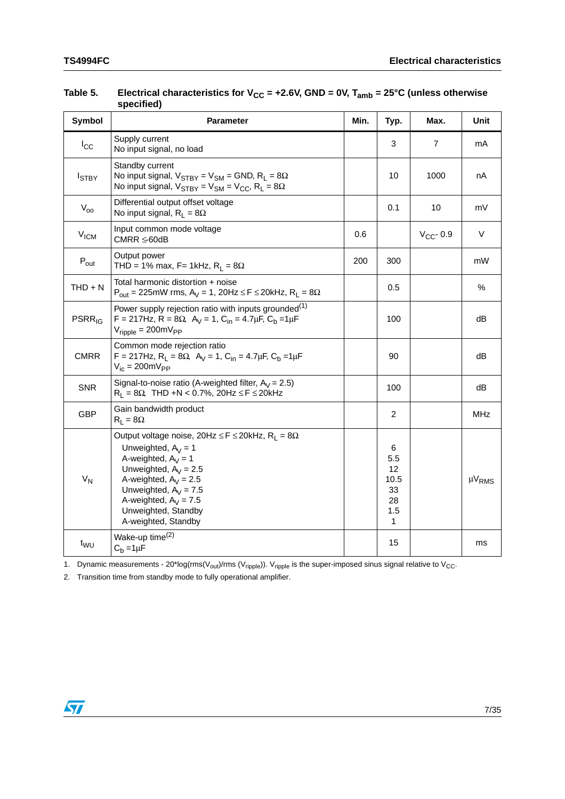| Symbol                   | Parameter                                                                                                                                                                                                                                                                                 | Min. | Typ.                                                      | Max.           | Unit                   |
|--------------------------|-------------------------------------------------------------------------------------------------------------------------------------------------------------------------------------------------------------------------------------------------------------------------------------------|------|-----------------------------------------------------------|----------------|------------------------|
| $I_{\rm CC}$             | Supply current<br>No input signal, no load                                                                                                                                                                                                                                                |      | 3                                                         | $\overline{7}$ | mA                     |
| $I_{STBY}$               | Standby current<br>No input signal, $V_{STBY} = V_{SM} = GND$ , $R_L = 8\Omega$<br>No input signal, $V_{STBY} = V_{SM} = V_{CC}$ , $R_L = 8\Omega$                                                                                                                                        |      | 10                                                        | 1000           | nA                     |
| $V_{00}$                 | Differential output offset voltage<br>No input signal, $R_L = 8\Omega$                                                                                                                                                                                                                    |      | 0.1                                                       | 10             | mV                     |
| V <sub>ICM</sub>         | Input common mode voltage<br>$CMRR \leq 60dB$                                                                                                                                                                                                                                             | 0.6  |                                                           | $V_{CC}$ - 0.9 | V                      |
| $P_{\text{out}}$         | Output power<br>THD = 1% max, F= 1kHz, $R_L$ = 8 $\Omega$                                                                                                                                                                                                                                 | 200  | 300                                                       |                | mW                     |
| $THD + N$                | Total harmonic distortion + noise<br>$P_{out}$ = 225mW rms, A <sub>V</sub> = 1, 20Hz $\leq$ F $\leq$ 20kHz, R <sub>L</sub> = 8 $\Omega$                                                                                                                                                   |      | 0.5                                                       |                | $\%$                   |
| <b>PSRR<sub>IG</sub></b> | Power supply rejection ratio with inputs grounded <sup>(1)</sup><br>F = 217Hz, R = 8 $\Omega$ , A <sub>V</sub> = 1, C <sub>in</sub> = 4.7 $\mu$ F, C <sub>b</sub> = 1 $\mu$ F<br>$V_{\text{ripole}} = 200 \text{mV}_{\text{PP}}$                                                          |      | 100                                                       |                | dB                     |
| <b>CMRR</b>              | Common mode rejection ratio<br>F = 217Hz, R <sub>L</sub> = 8 $\Omega$ , A <sub>V</sub> = 1, C <sub>in</sub> = 4.7 $\mu$ F, C <sub>b</sub> = 1 $\mu$ F<br>$V_{ic} = 200 \text{mV}_{PP}$                                                                                                    |      | 90                                                        |                | dB                     |
| <b>SNR</b>               | Signal-to-noise ratio (A-weighted filter, $A_V = 2.5$ )<br>$R_L = 8\Omega$ , THD +N < 0.7%, 20Hz $\le F \le 20$ kHz                                                                                                                                                                       |      | 100                                                       |                | dB                     |
| <b>GBP</b>               | Gain bandwidth product<br>$R_L = 8\Omega$                                                                                                                                                                                                                                                 |      | $\overline{c}$                                            |                | <b>MHz</b>             |
| $V_N$                    | Output voltage noise, 20Hz $\leq$ F $\leq$ 20kHz, R <sub>L</sub> = 8 $\Omega$<br>Unweighted, $A_V = 1$<br>A-weighted, $A_V = 1$<br>Unweighted, $A_V = 2.5$<br>A-weighted, $A_V = 2.5$<br>Unweighted, $A_V = 7.5$<br>A-weighted, $A_V = 7.5$<br>Unweighted, Standby<br>A-weighted, Standby |      | 6<br>5.5<br>12<br>10.5<br>33<br>28<br>1.5<br>$\mathbf{1}$ |                | $\mu$ V <sub>RMS</sub> |
| t <sub>WU</sub>          | Wake-up time <sup>(2)</sup><br>$C_b = 1 \mu F$                                                                                                                                                                                                                                            |      | 15                                                        |                | ms                     |

#### Table 5. Electrical characteristics for V<sub>CC</sub> = +2.6V, GND = 0V, T<sub>amb</sub> = 25°C (unless otherwise **specified)**

1. Dynamic measurements - 20\*log(rms( $V_{out}$ )/rms ( $V_{ripple}$ )).  $V_{ripple}$  is the super-imposed sinus signal relative to  $V_{CC}$ .

2. Transition time from standby mode to fully operational amplifier.

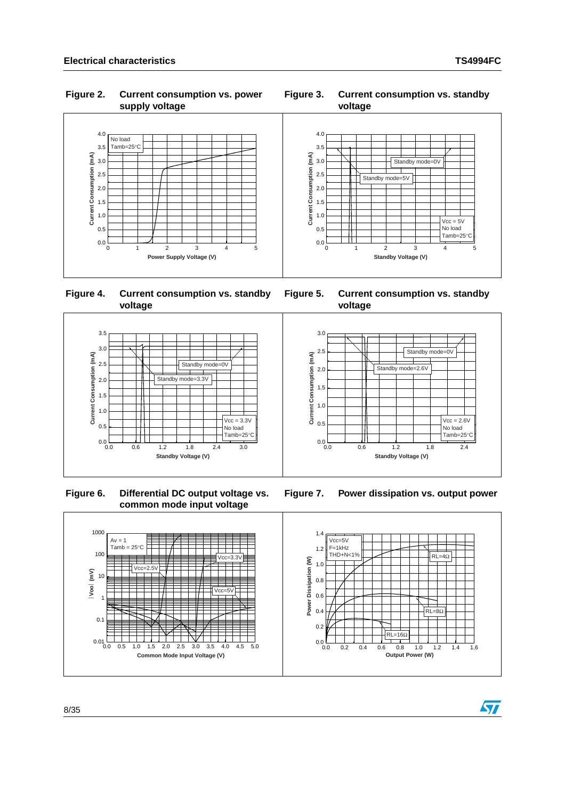#### **Figure 2. Current consumption vs. power supply voltage**









 **Figure 6. Differential DC output voltage vs. common mode input voltage**





**Figure 7. Power dissipation vs. output power**



57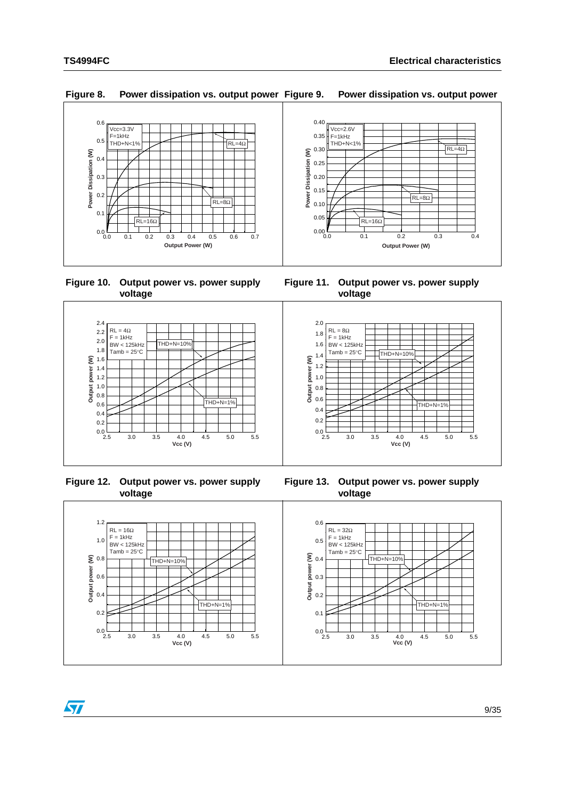**Output power (W)**

Output power (W)



**Figure 8. Power dissipation vs. output power Figure 9. Power dissipation vs. output power**

**Figure 10. Output power vs. power supply voltage**





 **Figure 12. Output power vs. power supply voltage**





2.5 3.0 3.5 4.0 4.5 5.0 5.5<br>2.5 3.0 3.5 **Vcc (V)**  $THD+N=10%$ F = 1kHz BW < 125kHz  $Tamb = 25^{\circ}$ C  $THD+N=1$ 

 $\sqrt{2}$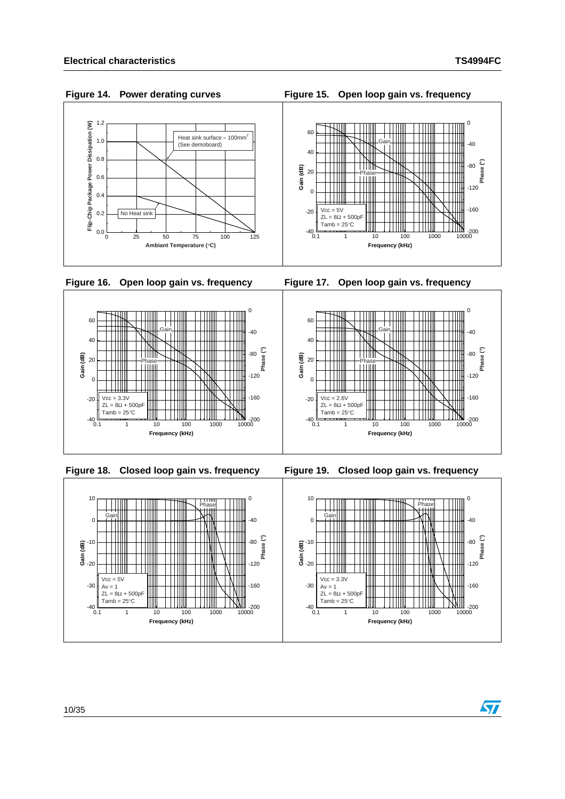#### 0 Power Dissipation (W) 1.2 **Flip-Chip Package Power Dissipation (W)** 60 Heat sink surface ≈ 100mm<sup>2</sup><br>(See demoboard) 1.0 Gain  $-40$  $\Box$ Ш THE  $\blacksquare$ 40 0.8 Ш  **Phase (°)** †††™ -80 TIII II  $\overline{9}$  20 0.6 TIII Phase  $\mathbb{I}$  $\perp$ Gain Flip-Chip Package **TIM** Ш Ш  $-120$  $\overline{0}$ 0.4  $\Box$ Ҡ <u> Hill</u> H  $Vcc = 5V$ -160 No Heat sink -20 0.2 TШ  $ZL = 8\Omega + 500pF$  $-40$ <br> $-40$ <br> $+40$ <br> $+40$ <br> $+40$ <br> $+40$ <br> $+40$ <br> $+40$ 0.0
<br>
0
25 50 75 100 125 0.1 1 10 100 1000 10000 - 1000 10000<br>0.1 1 10 100 1000 10000 **Frequency (kHz) Ambiant Temperature ( C) Figure 16. Open loop gain vs. frequency Figure 17. Open loop gain vs. frequency**  $\Omega$  $\Omega$









### Figure 14. Power derating curves

**Figure 15. Open loop gain vs. frequency** 

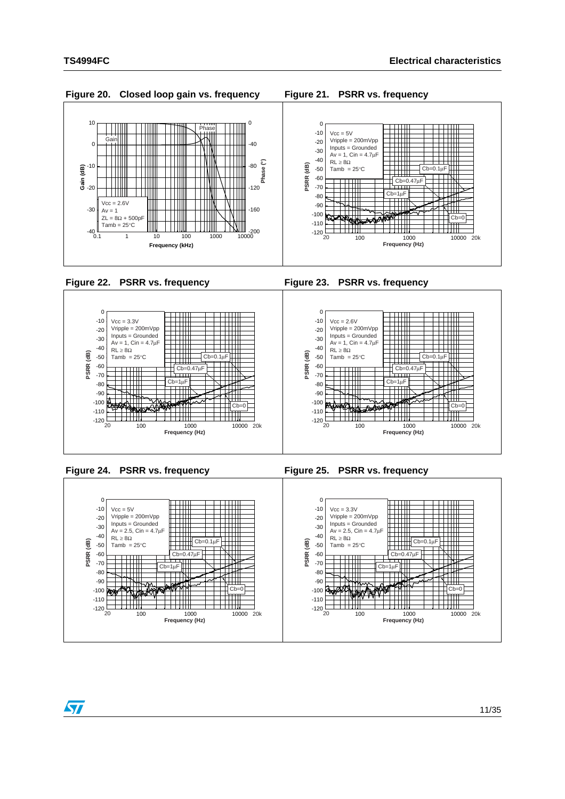

100 1000 10000 -120 20 20k **Frequency (Hz)**

 $Cb =$ 

╨

-110 -100 -90

 $\sqrt{2}$ 

₩₩

 $Cb=$ 

100 1000 10000 -120 20 20k **Frequency (Hz)**

-110 -100 -90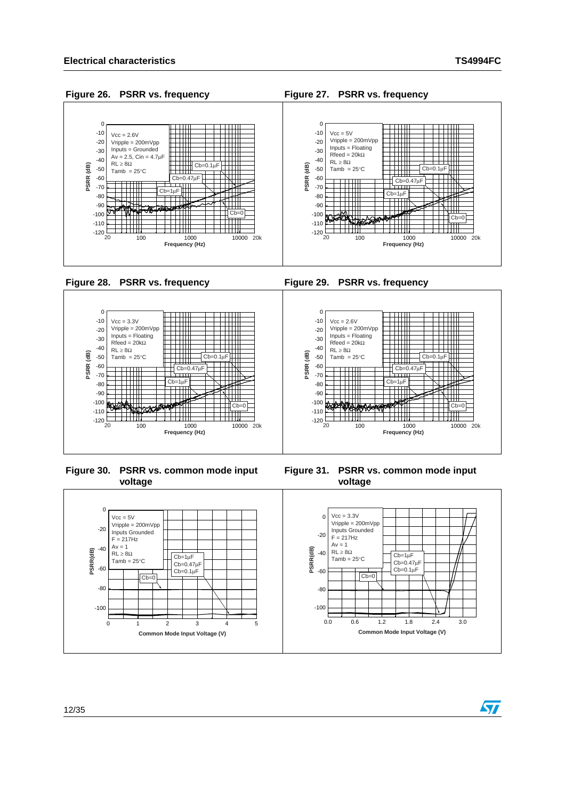$\bm{\varpi}$ 

### **Figure 26. PSRR vs. frequency Figure 27. PSRR vs. frequency**







**Figure 30. PSRR vs. common mode input voltage**



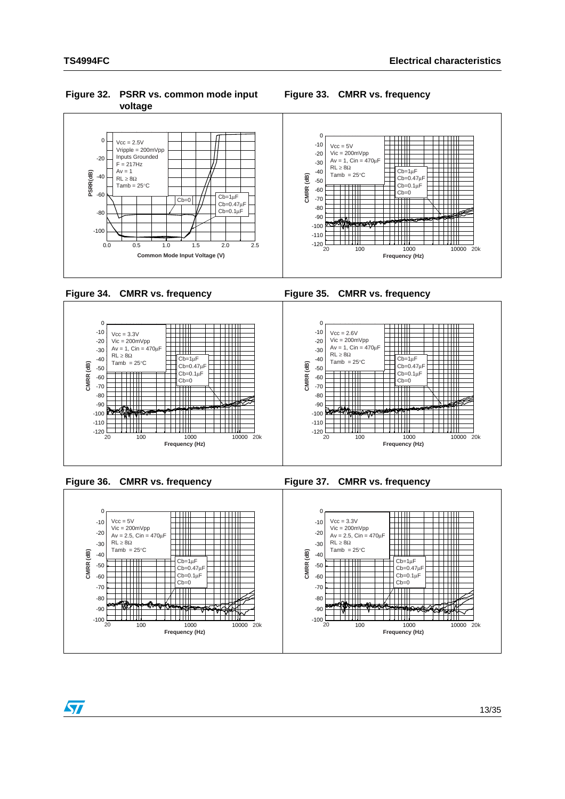**Figure 32. PSRR vs. common mode input voltage**













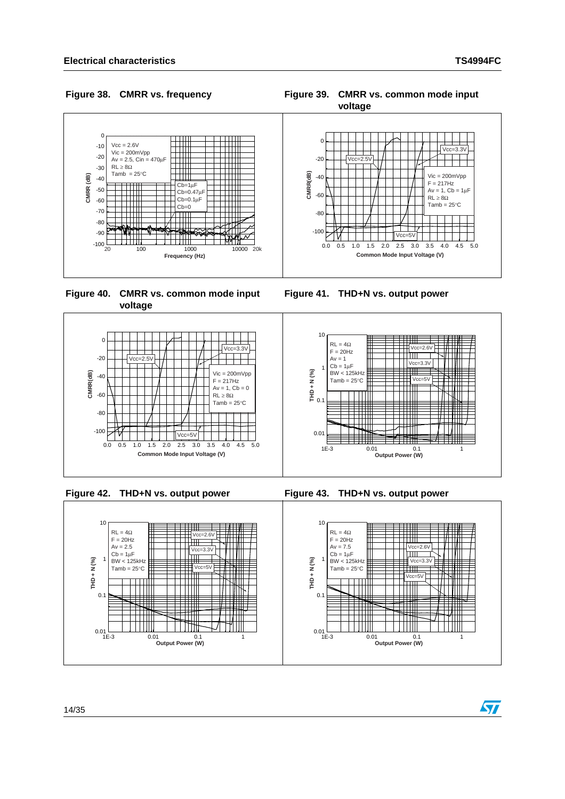**Figure 38. CMRR vs. frequency Figure 39. CMRR vs. common mode input**



**Figure 40. CMRR vs. common mode input voltage**







**Figure 41. THD+N vs. output power**





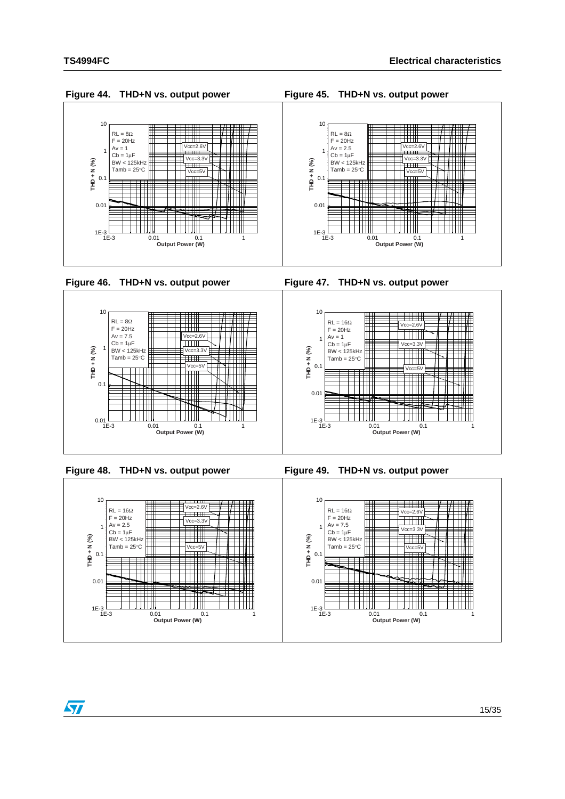$\sqrt{2}$ 





**Figure 44. THD+N vs. output power Figure 45. THD+N vs. output power**

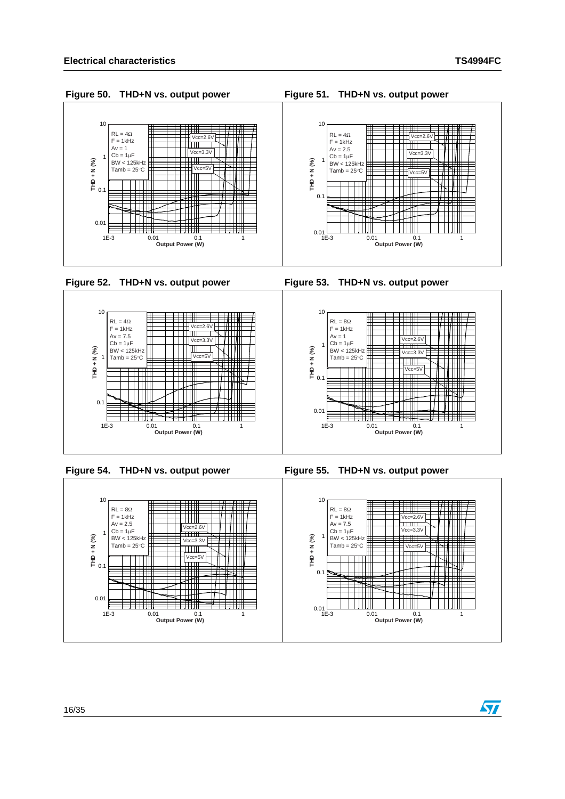$F = 1kHz$ Av = 1 Cb = 1μF BW < 125kHz  $Tamb = 25^{\circ}C$ 

0.01

0.1

**THD + N (%)**

1

 $10$ 

57











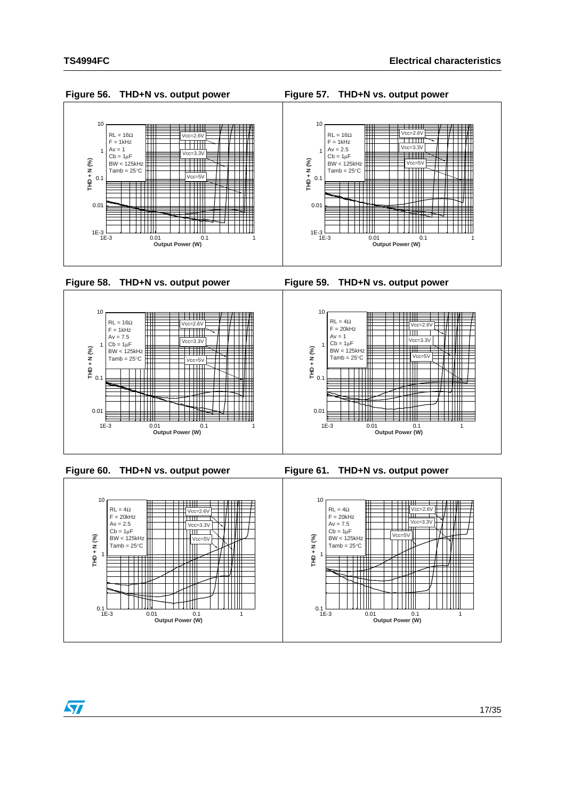$\sqrt{2}$ 





**Figure 56. THD+N vs. output power Figure 57. THD+N vs. output power**

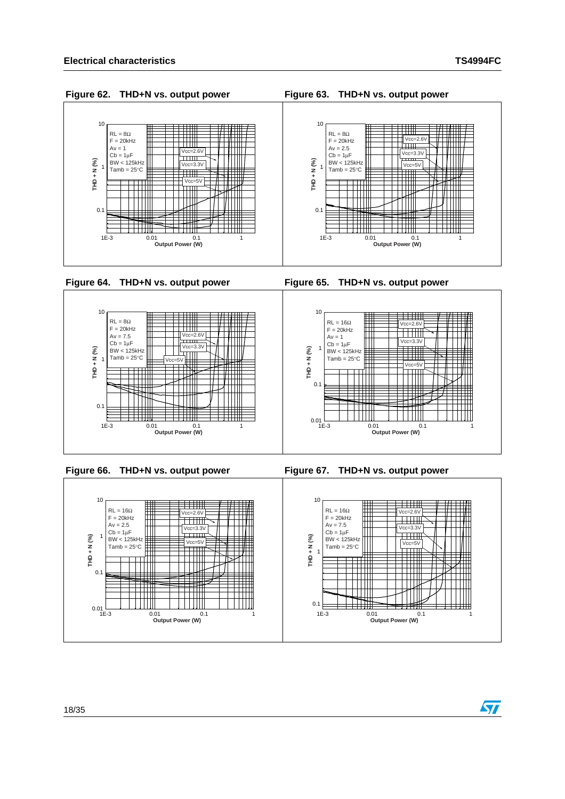57











### **Figure 62. THD+N vs. output power Figure 63. THD+N vs. output power**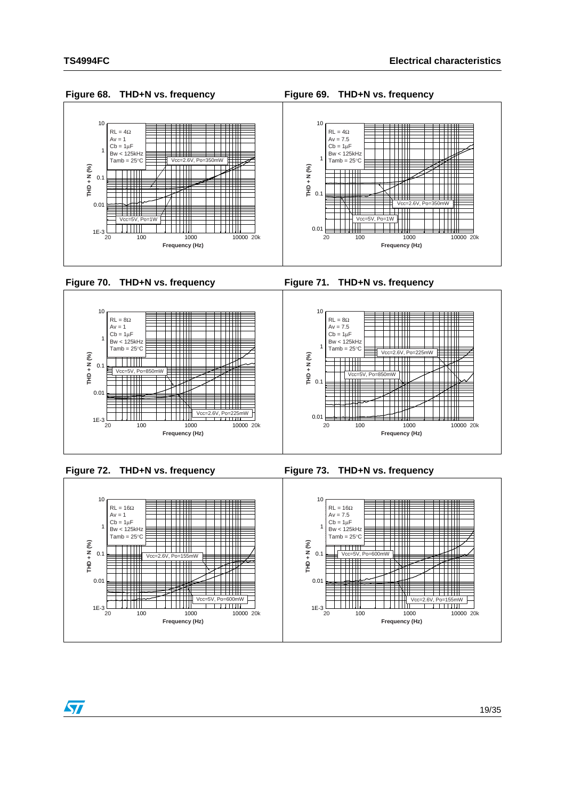

 $\frac{1}{2}$   $\frac{1}{2}$   $\frac{1}{2}$   $\frac{1}{2}$   $\frac{1}{2}$   $\frac{1}{2}$   $\frac{1}{2}$   $\frac{1}{2}$   $\frac{1}{2}$   $\frac{1}{2}$   $\frac{1}{2}$   $\frac{1}{2}$   $\frac{1}{2}$   $\frac{1}{2}$   $\frac{1}{2}$   $\frac{1}{2}$   $\frac{1}{2}$   $\frac{1}{2}$   $\frac{1}{2}$   $\frac{1}{2}$   $\frac{1}{2}$   $\frac{1}{2}$ 

**THD + N (%)**



100 1000 10000 1E-3

20 100 1000 1000 10000 20

▊

₩

**Frequency (Hz)**

 $\overline{1}$   $\overline{1}$   $\overline{1}$   $\overline{1}$   $\overline{1}$   $\overline{1}$   $\overline{1}$   $\overline{1}$   $\overline{1}$   $\overline{1}$ 

顶

∰  $\uparrow \parallel$ 

ШT ▆



Vcc=5V, Po=850mW

┼┼┼┼┼┼

 $Vcc=2.6V$ , P

╫╫╫



Vcc=5V, Po=850mW

TTTTTTT

ŤŤŤ

0.01

 $\frac{1}{2}$ THD + N (%)

**THD + N (%)**



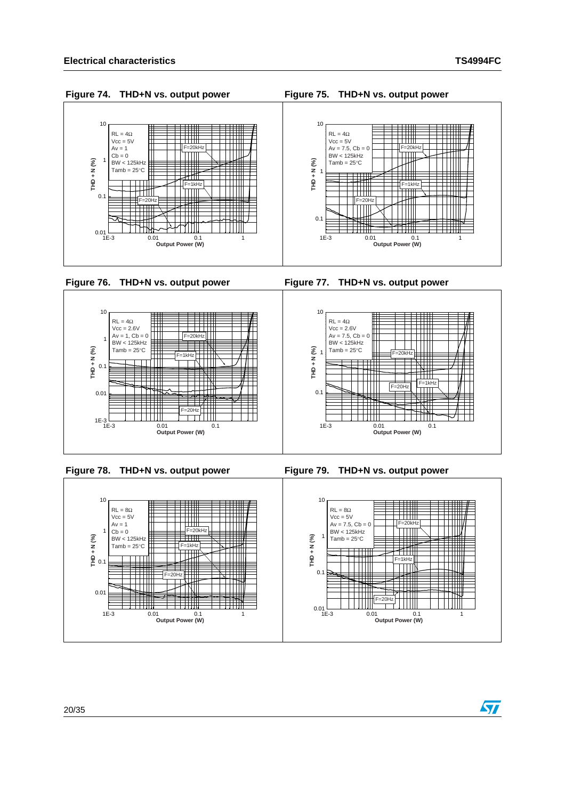57











### **Figure 74. THD+N vs. output power Figure 75. THD+N vs. output power**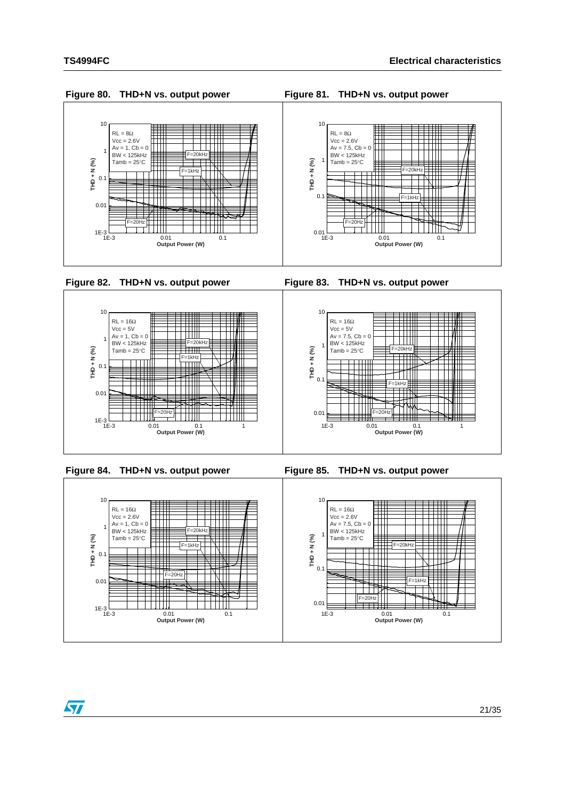



ST





| Figure 80. THD+N vs. output power |  |  |
|-----------------------------------|--|--|
|                                   |  |  |

**Figure 80. THD+N vs. output power Figure 81. THD+N vs. output power**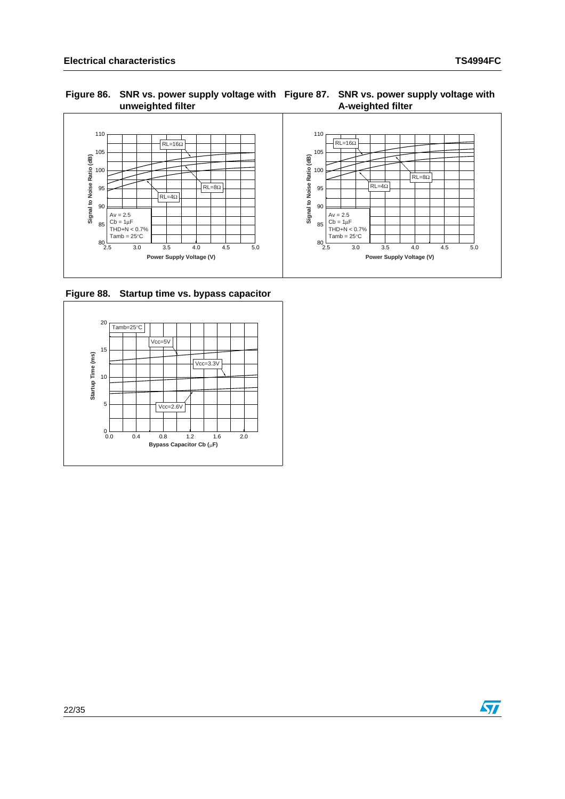#### Figure 86. SNR vs. power supply voltage with Figure 87. SNR vs. power supply voltage with **unweighted filter A-weighted filter**



<span id="page-21-0"></span>**Figure 88. Startup time vs. bypass capacitor**



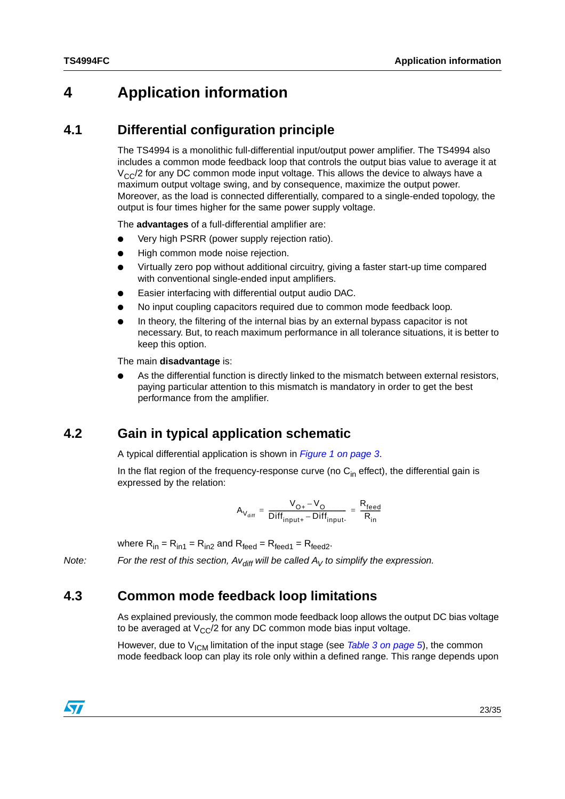## <span id="page-22-0"></span>**4 Application information**

### <span id="page-22-1"></span>**4.1 Differential configuration principle**

The TS4994 is a monolithic full-differential input/output power amplifier. The TS4994 also includes a common mode feedback loop that controls the output bias value to average it at  $V_{CC}/2$  for any DC common mode input voltage. This allows the device to always have a maximum output voltage swing, and by consequence, maximize the output power. Moreover, as the load is connected differentially, compared to a single-ended topology, the output is four times higher for the same power supply voltage.

The **advantages** of a full-differential amplifier are:

- Very high PSRR (power supply rejection ratio).
- High common mode noise rejection.
- Virtually zero pop without additional circuitry, giving a faster start-up time compared with conventional single-ended input amplifiers.
- Easier interfacing with differential output audio DAC.
- No input coupling capacitors required due to common mode feedback loop.
- In theory, the filtering of the internal bias by an external bypass capacitor is not necessary. But, to reach maximum performance in all tolerance situations, it is better to keep this option.

The main **disadvantage** is:

As the differential function is directly linked to the mismatch between external resistors, paying particular attention to this mismatch is mandatory in order to get the best performance from the amplifier.

### <span id="page-22-2"></span>**4.2 Gain in typical application schematic**

A typical differential application is shown in *[Figure 1 on page 3](#page-2-1)*.

In the flat region of the frequency-response curve (no  $C_{\text{in}}$  effect), the differential gain is expressed by the relation:

$$
A_{V_{diff}} = \frac{V_{O+} - V_O}{Diff_{input+} - Diff_{input-}} = \frac{R_{feed}}{R_{in}}
$$

where  $R_{in} = R_{in1} = R_{in2}$  and  $R_{feed} = R_{feed2}$ .

*Note:* For the rest of this section,  $Av_{diff}$  will be called  $A_V$  to simplify the expression.

### <span id="page-22-3"></span>**4.3 Common mode feedback loop limitations**

As explained previously, the common mode feedback loop allows the output DC bias voltage to be averaged at  $V_{\rm CC}/2$  for any DC common mode bias input voltage.

However, due to V<sub>ICM</sub> limitation of the input stage (see *[Table 3 on page 5](#page-4-1)*), the common mode feedback loop can play its role only within a defined range. This range depends upon

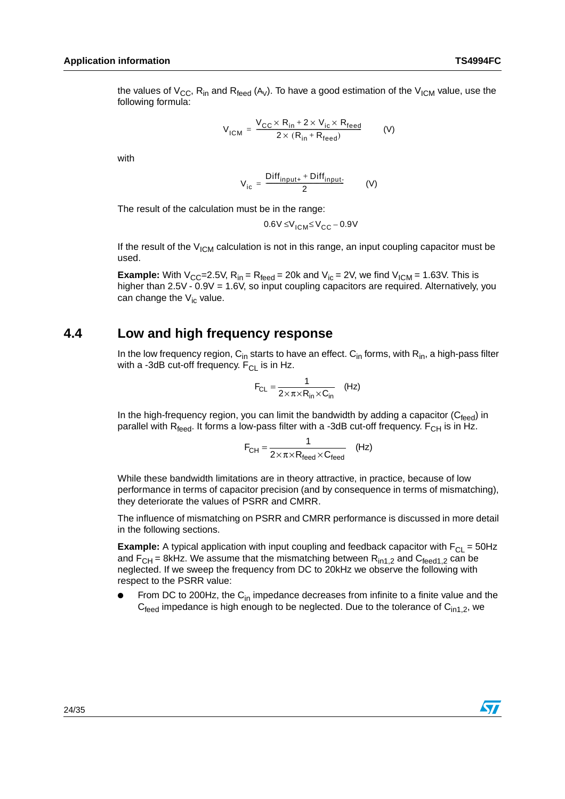the values of  $V_{CC}$ , R<sub>in</sub> and R<sub>feed</sub> (A<sub>V</sub>). To have a good estimation of the V<sub>ICM</sub> value, use the following formula:

$$
V_{ICM} = \frac{V_{CC} \times R_{in} + 2 \times V_{ic} \times R_{feed}}{2 \times (R_{in} + R_{feed})}
$$
 (V)

with

$$
V_{ic} = \frac{Diff_{input+} + Diff_{input-}}{2}
$$
 (V)

The result of the calculation must be in the range:

$$
0.6V \leq V_{\text{ICM}} \leq V_{\text{CC}} - 0.9V
$$

If the result of the  $V_{ICM}$  calculation is not in this range, an input coupling capacitor must be used.

**Example:** With  $V_{CC}$ =2.5V,  $R_{in}$  =  $R_{feed}$  = 20k and  $V_{ic}$  = 2V, we find  $V_{ICM}$  = 1.63V. This is higher than 2.5V - 0.9V = 1.6V, so input coupling capacitors are required. Alternatively, you can change the  $V_{i}$  value.

### <span id="page-23-0"></span>**4.4 Low and high frequency response**

In the low frequency region,  $C_{in}$  starts to have an effect.  $C_{in}$  forms, with  $R_{in}$ , a high-pass filter with a -3dB cut-off frequency.  $F_{CL}$  is in Hz.

$$
F_{CL} = \frac{1}{2 \times \pi \times R_{in} \times C_{in}} \quad (Hz)
$$

In the high-frequency region, you can limit the bandwidth by adding a capacitor ( $C_{\text{feed}}$ ) in parallel with  $R_{feed}$ . It forms a low-pass filter with a -3dB cut-off frequency.  $F_{CH}$  is in Hz.

$$
F_{CH} = \frac{1}{2 \times \pi \times R_{feed} \times C_{feed}}
$$
 (Hz)

While these bandwidth limitations are in theory attractive, in practice, because of low performance in terms of capacitor precision (and by consequence in terms of mismatching), they deteriorate the values of PSRR and CMRR.

The influence of mismatching on PSRR and CMRR performance is discussed in more detail in the following sections.

**Example:** A typical application with input coupling and feedback capacitor with  $F_{CL} = 50$ Hz and  $F_{CH}$  = 8kHz. We assume that the mismatching between  $R_{in1,2}$  and  $C_{feed1,2}$  can be neglected. If we sweep the frequency from DC to 20kHz we observe the following with respect to the PSRR value:

From DC to 200Hz, the  $C_{in}$  impedance decreases from infinite to a finite value and the  $C_{\text{feed}}$  impedance is high enough to be neglected. Due to the tolerance of  $C_{\text{in1,2}}$ , we

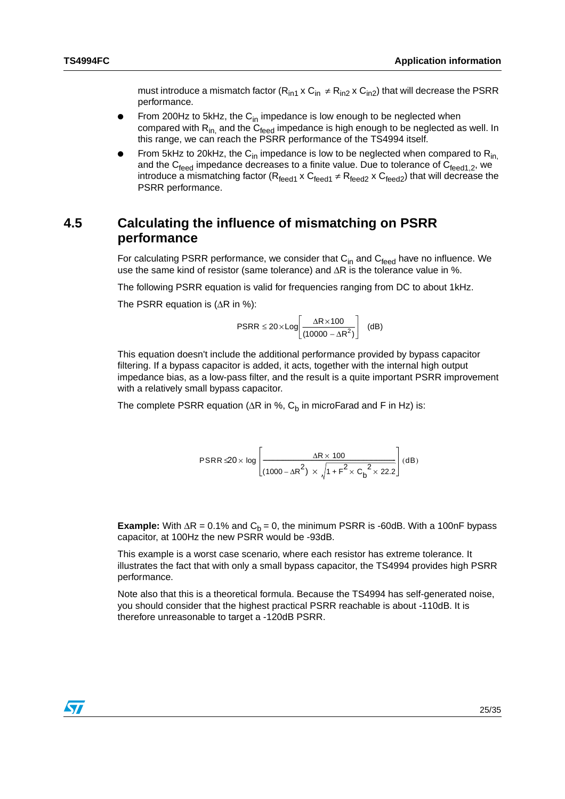must introduce a mismatch factor ( $R_{in1}$  x  $C_{in} \neq R_{in2}$  x  $C_{in2}$ ) that will decrease the PSRR performance.

- From 200Hz to 5kHz, the  $C_{in}$  impedance is low enough to be neglected when compared with  $R_{in}$  and the  $C_{feed}$  impedance is high enough to be neglected as well. In this range, we can reach the PSRR performance of the TS4994 itself.
- From 5kHz to 20kHz, the  $C_{in}$  impedance is low to be neglected when compared to  $R_{in}$ , and the  $C_{\text{feed}}$  impedance decreases to a finite value. Due to tolerance of  $C_{\text{feed1.2}}$ , we introduce a mismatching factor ( $R_{\text{feed1}} \times C_{\text{feed2}} \neq R_{\text{feed2}} \times C_{\text{feed2}}$ ) that will decrease the PSRR performance.

### <span id="page-24-0"></span>**4.5 Calculating the influence of mismatching on PSRR performance**

For calculating PSRR performance, we consider that  $C_{in}$  and  $C_{feed}$  have no influence. We use the same kind of resistor (same tolerance) and  $\Delta R$  is the tolerance value in %.

The following PSRR equation is valid for frequencies ranging from DC to about 1kHz.

The PSRR equation is  $(ΔR in %)$ :

$$
\text{PSRR} \le 20 \times \text{Log}\left[\frac{\Delta R \times 100}{(10000 - \Delta R^2)}\right] \quad \text{(dB)}
$$

This equation doesn't include the additional performance provided by bypass capacitor filtering. If a bypass capacitor is added, it acts, together with the internal high output impedance bias, as a low-pass filter, and the result is a quite important PSRR improvement with a relatively small bypass capacitor.

The complete PSRR equation ( $\Delta$ R in %, C<sub>b</sub> in microFarad and F in Hz) is:

$$
\text{PSRR} \trianglelefteq 0 \times \log \left[\frac{\Delta R \times 100}{(1000 - \Delta R^2) \times \sqrt{1 + F^2 \times {C_b}^2 \times 22.2}}\right] (dB)
$$

**Example:** With  $\Delta$ R = 0.1% and  $C_b$  = 0, the minimum PSRR is -60dB. With a 100nF bypass capacitor, at 100Hz the new PSRR would be -93dB.

This example is a worst case scenario, where each resistor has extreme tolerance. It illustrates the fact that with only a small bypass capacitor, the TS4994 provides high PSRR performance.

Note also that this is a theoretical formula. Because the TS4994 has self-generated noise, you should consider that the highest practical PSRR reachable is about -110dB. It is therefore unreasonable to target a -120dB PSRR.

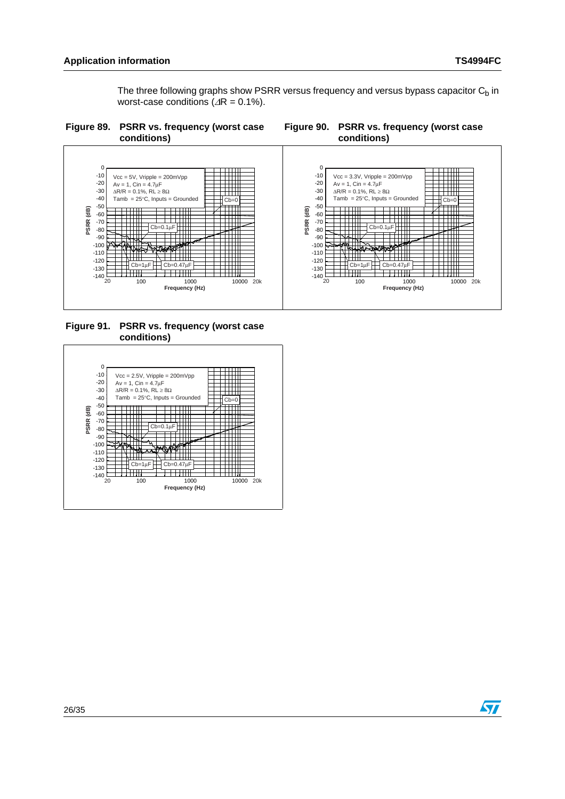The three following graphs show PSRR versus frequency and versus bypass capacitor  $C<sub>b</sub>$  in worst-case conditions  $(4R = 0.1\%)$ .







**Figure 91. PSRR vs. frequency (worst case conditions)**



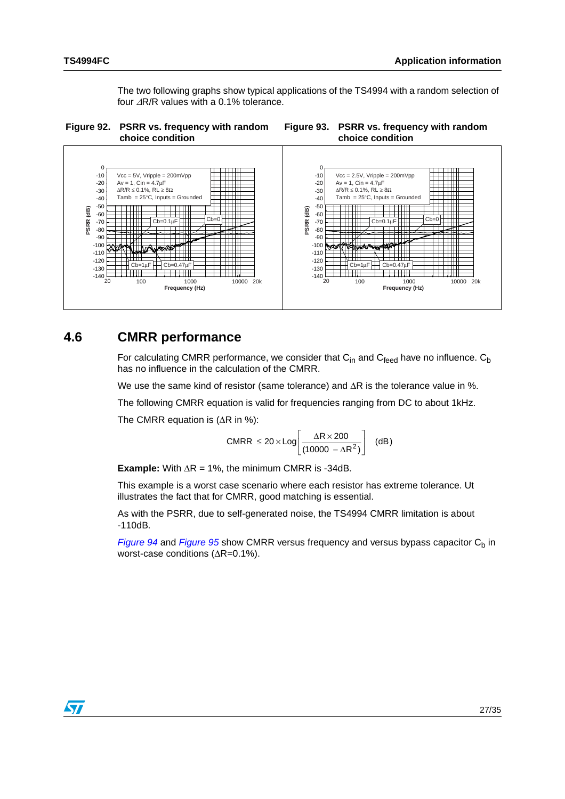The two following graphs show typical applications of the TS4994 with a random selection of four ΔR/R values with a 0.1% tolerance.





### <span id="page-26-0"></span>**4.6 CMRR performance**

For calculating CMRR performance, we consider that  $C_{in}$  and  $C_{feed}$  have no influence.  $C_b$ has no influence in the calculation of the CMRR.

We use the same kind of resistor (same tolerance) and  $\Delta R$  is the tolerance value in %.

The following CMRR equation is valid for frequencies ranging from DC to about 1kHz.

The CMRR equation is  $( \Delta R \text{ in } \%)$ :

$$
CMRR ≤ 20 × Log \left[\frac{ΔR×200}{(10000 - ΔR2)}\right] (dB)
$$

**Example:** With  $\Delta R = 1\%$ , the minimum CMRR is -34dB.

This example is a worst case scenario where each resistor has extreme tolerance. Ut illustrates the fact that for CMRR, good matching is essential.

As with the PSRR, due to self-generated noise, the TS4994 CMRR limitation is about -110dB.

*[Figure 94](#page-27-1)* and *[Figure 95](#page-27-2)* show CMRR versus frequency and versus bypass capacitor  $C_b$  in worst-case conditions (ΔR=0.1%).

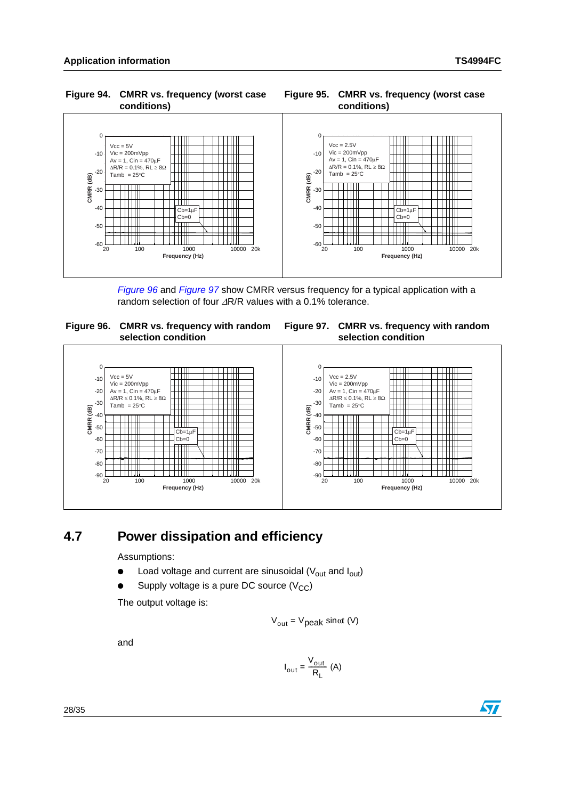#### <span id="page-27-1"></span> **Figure 94. CMRR vs. frequency (worst case conditions)**

<span id="page-27-2"></span>



*[Figure 96](#page-27-3)* and *[Figure 97](#page-27-4)* show CMRR versus frequency for a typical application with a random selection of four ΔR/R values with a 0.1% tolerance.

<span id="page-27-3"></span>

<span id="page-27-4"></span>



## <span id="page-27-0"></span>**4.7 Power dissipation and efficiency**

Assumptions:

- Load voltage and current are sinusoidal  $(V_{out}$  and  $I_{out}$ )
- Supply voltage is a pure DC source  $(V_{CC})$

The output voltage is:

$$
V_{\text{out}} = V_{\text{peak}} \sin \omega t \ (V)
$$

and

$$
I_{\text{out}} = \frac{V_{\text{out}}}{R_{\text{L}}} (A)
$$



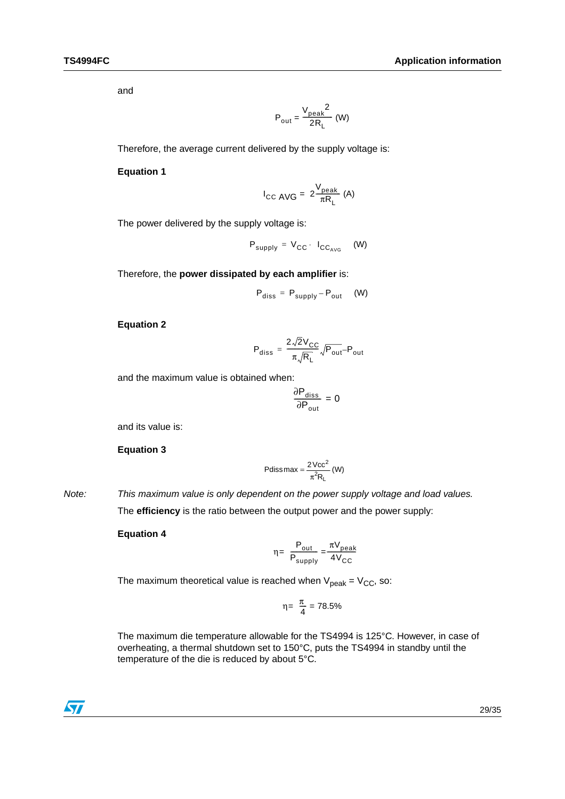and

$$
\mathsf{P}_{\mathsf{out}} = \frac{\mathsf{V}_{\mathsf{peak}}^2}{2 \mathsf{R}_{\mathsf{L}}} \text{ (W)}
$$

Therefore, the average current delivered by the supply voltage is:

#### **Equation 1**

$$
I_{\text{CC AVG}} = 2 \frac{V_{\text{peak}}}{\pi R_{\text{L}}} \text{ (A)}
$$

The power delivered by the supply voltage is:

$$
P_{\text{supply}} = V_{\text{CC}} \cdot I_{\text{CC}_{\text{AVG}}} \quad (W)
$$

Therefore, the **power dissipated by each amplifier** is:

$$
P_{\text{diss}} = P_{\text{supply}} - P_{\text{out}} \quad (W)
$$

#### **Equation 2**

$$
P_{diss} = \frac{2\sqrt{2}V_{CC}}{\pi\sqrt{R_L}}\sqrt{P_{out}} - P_{out}
$$

and the maximum value is obtained when:

$$
\frac{\partial P_{\text{diss}}}{\partial P_{\text{out}}} = 0
$$

and its value is:

**Equation 3** 

Pdiss max = 
$$
\frac{2\text{Vcc}^2}{\pi^2 R_L}
$$
 (W)

*Note: This maximum value is only dependent on the power supply voltage and load values.* The **efficiency** is the ratio between the output power and the power supply:

**Equation 4** 

$$
\eta = \frac{P_{\text{out}}}{P_{\text{supply}}} = \frac{\pi V_{\text{peak}}}{4V_{\text{CC}}}
$$

The maximum theoretical value is reached when  $V_{peak} = V_{CC}$ , so:

$$
\eta = \frac{\pi}{4} = 78.5\%
$$

The maximum die temperature allowable for the TS4994 is 125°C. However, in case of overheating, a thermal shutdown set to 150°C, puts the TS4994 in standby until the temperature of the die is reduced by about 5°C.

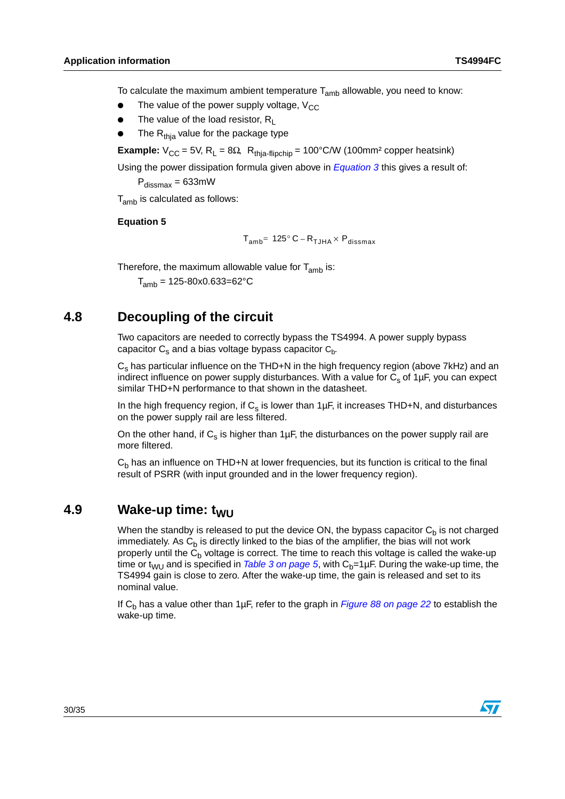To calculate the maximum ambient temperature  $T_{amb}$  allowable, you need to know:

- The value of the power supply voltage,  $V_{CC}$
- The value of the load resistor,  $R_1$
- The  $R<sub>thia</sub>$  value for the package type

**Example:**  $V_{CC} = 5V$ ,  $R_L = 8\Omega$ ,  $R_{thia-flipchip} = 100^{\circ}$ C/W (100mm<sup>2</sup> copper heatsink)

Using the power dissipation formula given above in *Equation 3* this gives a result of:

 $P_{dissmax} = 633$ mW

T<sub>amb</sub> is calculated as follows:

#### **Equation 5**

$$
T_{amb}=125^{\circ}C-R_{TJHA}\times P_{dissmax}
$$

Therefore, the maximum allowable value for  $T_{amb}$  is:

 $T_{amb}$  = 125-80x0.633=62°C

### <span id="page-29-0"></span>**4.8 Decoupling of the circuit**

Two capacitors are needed to correctly bypass the TS4994. A power supply bypass capacitor  $C_s$  and a bias voltage bypass capacitor  $C_b$ .

 $C_s$  has particular influence on the THD+N in the high frequency region (above 7kHz) and an indirect influence on power supply disturbances. With a value for  $C_s$  of 1µF, you can expect similar THD+N performance to that shown in the datasheet.

In the high frequency region, if  $C_s$  is lower than 1 $\mu$ F, it increases THD+N, and disturbances on the power supply rail are less filtered.

On the other hand, if  $C_s$  is higher than 1µF, the disturbances on the power supply rail are more filtered.

 $C<sub>b</sub>$  has an influence on THD+N at lower frequencies, but its function is critical to the final result of PSRR (with input grounded and in the lower frequency region).

### <span id="page-29-1"></span>**4.9** Wake-up time: t<sub>WU</sub>

When the standby is released to put the device ON, the bypass capacitor  $C_b$  is not charged immediately. As  $C_b$  is directly linked to the bias of the amplifier, the bias will not work properly until the  $C_b$  voltage is correct. The time to reach this voltage is called the wake-up time or t<sub>WU</sub> and is specified in *[Table 3 on page 5](#page-4-1)*, with  $C_b=1\mu F$ . During the wake-up time, the TS4994 gain is close to zero. After the wake-up time, the gain is released and set to its nominal value.

If C<sub>b</sub> has a value other than 1µF, refer to the graph in *[Figure 88 on page 22](#page-21-0)* to establish the wake-up time.

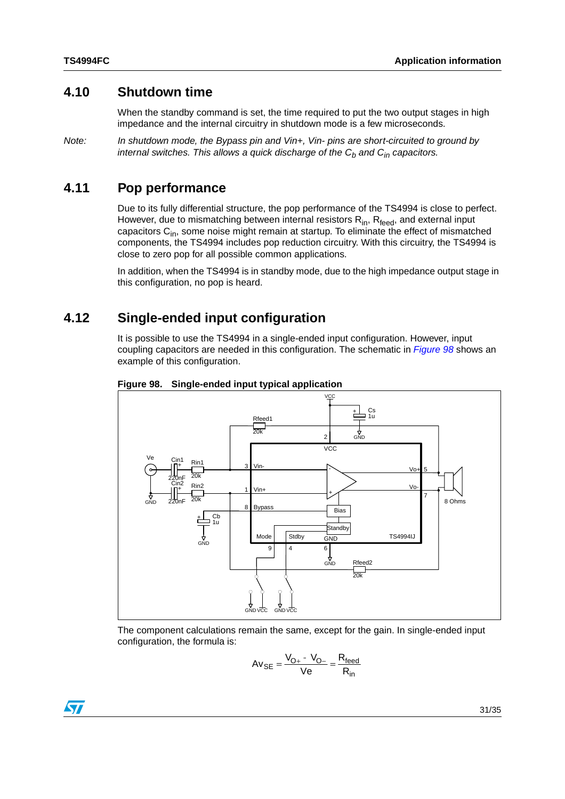### <span id="page-30-0"></span>**4.10 Shutdown time**

When the standby command is set, the time required to put the two output stages in high impedance and the internal circuitry in shutdown mode is a few microseconds.

*Note: In shutdown mode, the Bypass pin and Vin+, Vin- pins are short-circuited to ground by internal switches. This allows a quick discharge of the C<sub>b</sub> and C<sub>in</sub> capacitors.* 

### <span id="page-30-1"></span>**4.11 Pop performance**

Due to its fully differential structure, the pop performance of the TS4994 is close to perfect. However, due to mismatching between internal resistors  $R_{in}$ ,  $R_{feed}$ , and external input capacitors  $C_{in}$ , some noise might remain at startup. To eliminate the effect of mismatched components, the TS4994 includes pop reduction circuitry. With this circuitry, the TS4994 is close to zero pop for all possible common applications.

In addition, when the TS4994 is in standby mode, due to the high impedance output stage in this configuration, no pop is heard.

### <span id="page-30-2"></span>**4.12 Single-ended input configuration**

It is possible to use the TS4994 in a single-ended input configuration. However, input coupling capacitors are needed in this configuration. The schematic in *[Figure 98](#page-30-3)* shows an example of this configuration.



<span id="page-30-3"></span>**Figure 98. Single-ended input typical application**

The component calculations remain the same, except for the gain. In single-ended input configuration, the formula is:

$$
Av_{SE} = \frac{V_{O+} - V_{O-}}{Ve} = \frac{R_{feed}}{R_{in}}
$$

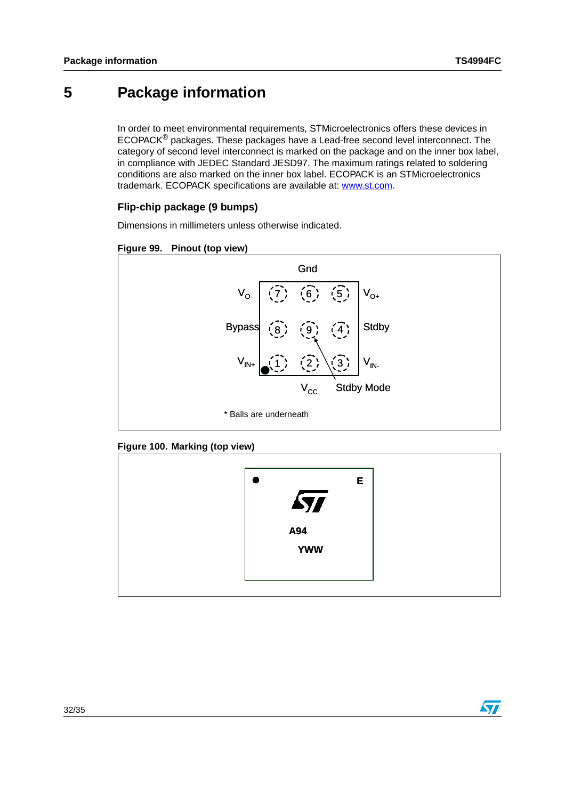## <span id="page-31-0"></span>**5 Package information**

In order to meet environmental requirements, STMicroelectronics offers these devices in ECOPACK® packages. These packages have a Lead-free second level interconnect. The category of second level interconnect is marked on the package and on the inner box label, in compliance with JEDEC Standard JESD97. The maximum ratings related to soldering conditions are also marked on the inner box label. ECOPACK is an STMicroelectronics trademark. ECOPACK specifications are available at: www.st.com.

### **Flip-chip package (9 bumps)**

Dimensions in millimeters unless otherwise indicated.





#### **Figure 100. Marking (top view)**



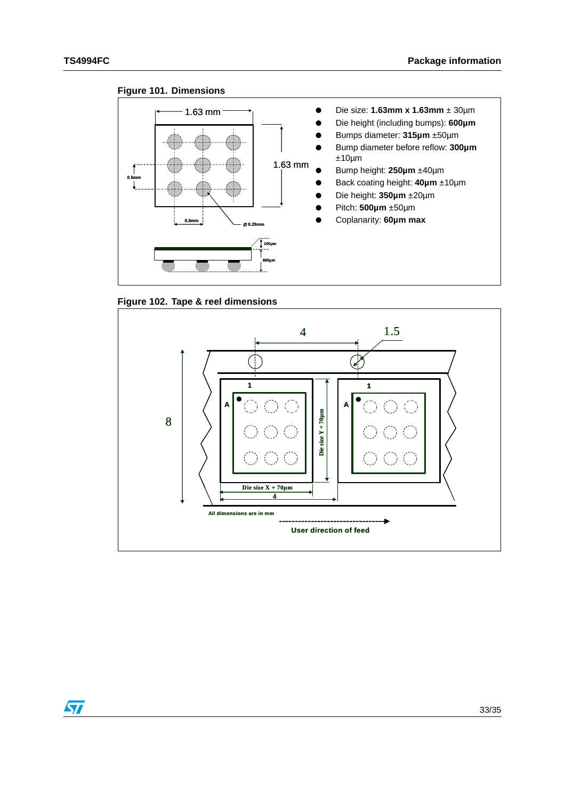







 $\sqrt{2}$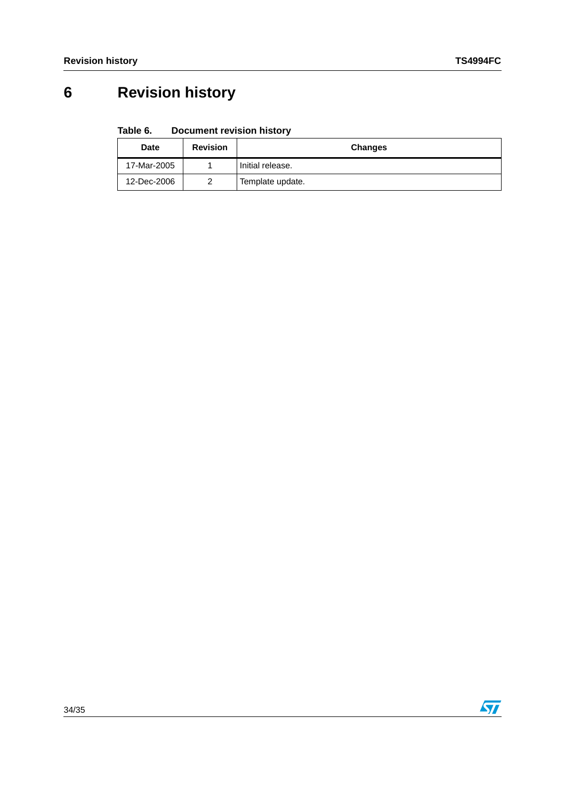# <span id="page-33-0"></span>**6 Revision history**

#### Table 6. **Document revision history**

| <b>Date</b> | <b>Revision</b> | <b>Changes</b>   |
|-------------|-----------------|------------------|
| 17-Mar-2005 |                 | Initial release. |
| 12-Dec-2006 | າ               | Template update. |